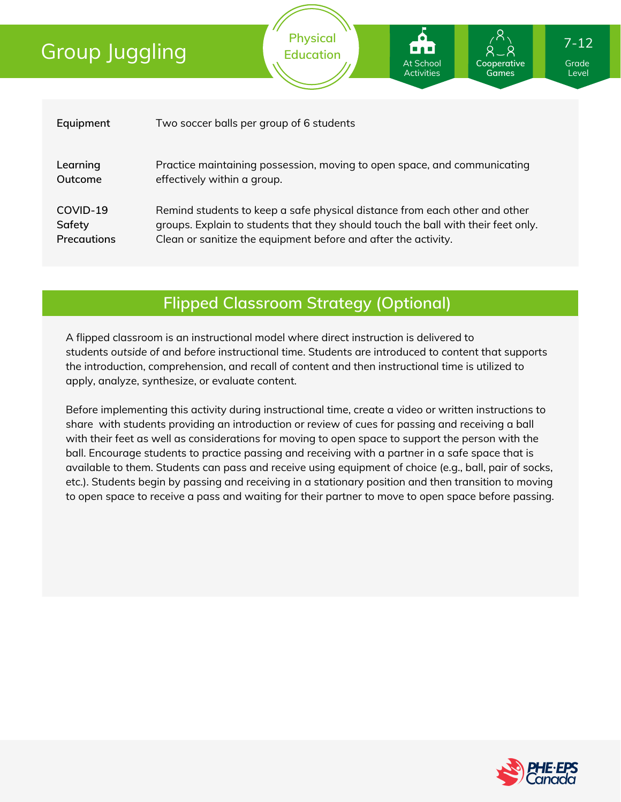| Equipment          | Two soccer balls per group of 6 students                                          |
|--------------------|-----------------------------------------------------------------------------------|
| Learning           | Practice maintaining possession, moving to open space, and communicating          |
| Outcome            | effectively within a group.                                                       |
| COVID-19           | Remind students to keep a safe physical distance from each other and other        |
| Safety             | groups. Explain to students that they should touch the ball with their feet only. |
| <b>Precautions</b> | Clean or sanitize the equipment before and after the activity.                    |

### **Flipped Classroom Strategy (Optional)**

A flipped classroom is an instructional model where direct instruction is delivered to students *outside of* and *before* instructional time. Students are introduced to content that supports the introduction, comprehension, and recall of content and then instructional time is utilized to apply, analyze, synthesize, or evaluate content.

Before implementing this activity during instructional time, create a video or written instructions to share with students providing an introduction or review of cues for passing and receiving a ball with their feet as well as considerations for moving to open space to support the person with the ball. Encourage students to practice passing and receiving with a partner in a safe space that is available to them. Students can pass and receive using equipment of choice (e.g., ball, pair of socks, etc.). Students begin by passing and receiving in a stationary position and then transition to moving to open space to receive a pass and waiting for their partner to move to open space before passing.



Grade Level

**Cooperative Games**

At School **Activities** 

7-12

**Physical Education**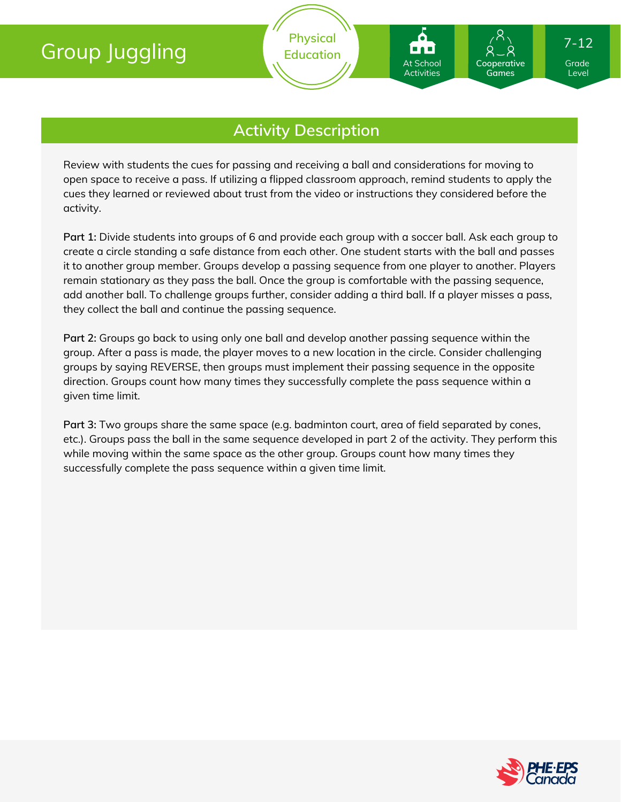Review with students the cues for passing and receiving a ball and considerations for moving to open space to receive a pass. If utilizing a flipped classroom approach, remind students to apply the cues they learned or reviewed about trust from the video or instructions they considered before the activity.

**Part 1:** Divide students into groups of 6 and provide each group with a soccer ball. Ask each group to create a circle standing a safe distance from each other. One student starts with the ball and passes it to another group member. Groups develop a passing sequence from one player to another. Players remain stationary as they pass the ball. Once the group is comfortable with the passing sequence, add another ball. To challenge groups further, consider adding a third ball. If a player misses a pass, they collect the ball and continue the passing sequence.

**Part 2:** Groups go back to using only one ball and develop another passing sequence within the group. After a pass is made, the player moves to a new location in the circle. Consider challenging groups by saying REVERSE, then groups must implement their passing sequence in the opposite direction. Groups count how many times they successfully complete the pass sequence within a given time limit.

**Part 3:** Two groups share the same space (e.g. badminton court, area of field separated by cones, etc.). Groups pass the ball in the same sequence developed in part 2 of the activity. They perform this while moving within the same space as the other group. Groups count how many times they successfully complete the pass sequence within a given time limit.



Grade Level

**Cooperative Games**

7-12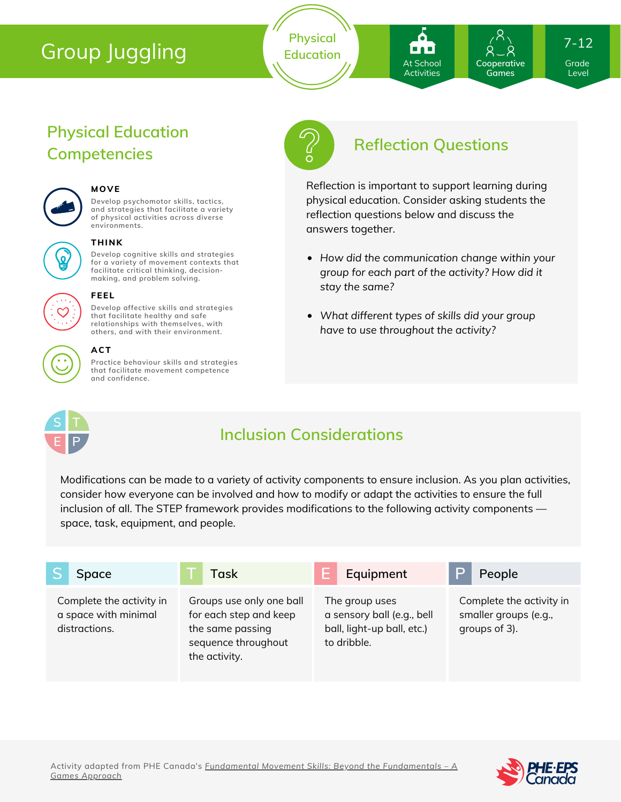**Physical Education**

At School **Activities** 

**Cooperative Games**

7-12

Grade Level

## **Physical Education Competencies**



#### **MOVE**

**Develop psychomotor skills, tactics, and strategies that facilitate a variety of physical activities across diverse environments.**



#### **THINK**

**Develop cognitive skills and strategies for a variety of movement contexts that facilitate critical thinking, decision making, and problem solving.**



#### **FEEL**

**Develop affective skills and strategies that facilitate healthy and safe relationships with themselves, with others, and with their environment.**



#### **ACT**

**Practice behaviour skills and strategies that facilitate movement competence and confidence.**



## **Reflection Questions**

Reflection is important to support learning during physical education. Consider asking students the reflection questions below and discuss the answers together.

- *How did the communication change within your group for each part of the activity? How did it stay the same?*
- *What different types of skills did your group have to use throughout the activity?*



## **Inclusion Considerations**

Modifications can be made to a variety of activity components to ensure inclusion. As you plan activities, consider how everyone can be involved and how to modify or adapt the activities to ensure the full inclusion of all. The STEP framework provides modifications to the following activity components space, task, equipment, and people.

| Space                                                             | Task                                                                                                           | Equipment                                                                                 | People                                                             |
|-------------------------------------------------------------------|----------------------------------------------------------------------------------------------------------------|-------------------------------------------------------------------------------------------|--------------------------------------------------------------------|
| Complete the activity in<br>a space with minimal<br>distractions. | Groups use only one ball<br>for each step and keep<br>the same passing<br>sequence throughout<br>the activity. | The group uses<br>a sensory ball (e.g., bell<br>ball, light-up ball, etc.)<br>to dribble. | Complete the activity in<br>smaller groups (e.g.,<br>groups of 3). |